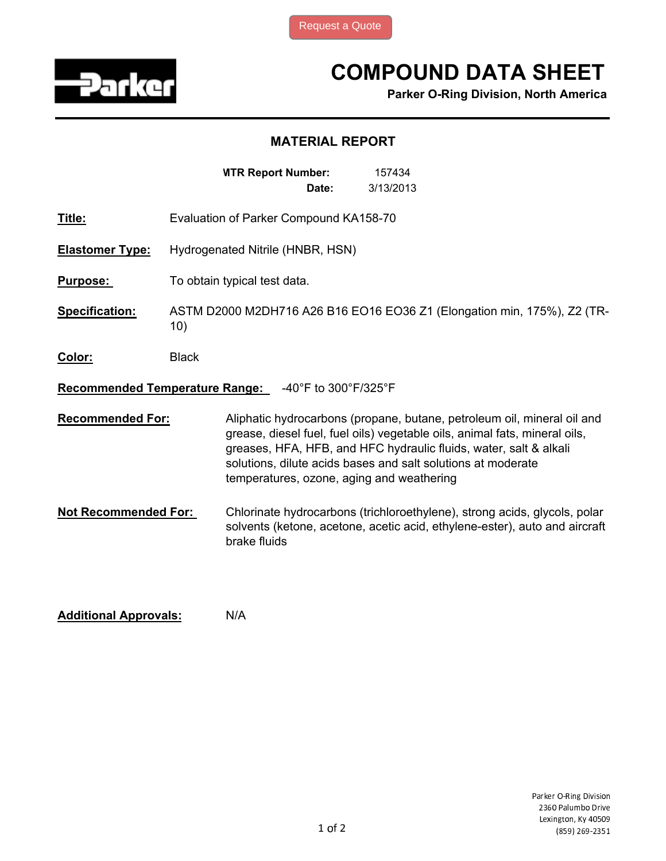

## COMPOUND DATA SHEET

Parker O-Ring Division, North America

## MATERIAL REPORT

|                                                               | <b>MTR Report Number:</b><br>157434<br>3/13/2013<br>Date:                                                                                                                                                                                                                                                                               |  |  |  |
|---------------------------------------------------------------|-----------------------------------------------------------------------------------------------------------------------------------------------------------------------------------------------------------------------------------------------------------------------------------------------------------------------------------------|--|--|--|
| Title:                                                        | Evaluation of Parker Compound KA158-70                                                                                                                                                                                                                                                                                                  |  |  |  |
| <b>Elastomer Type:</b>                                        | Hydrogenated Nitrile (HNBR, HSN)                                                                                                                                                                                                                                                                                                        |  |  |  |
| <b>Purpose:</b>                                               | To obtain typical test data.                                                                                                                                                                                                                                                                                                            |  |  |  |
| Specification:                                                | ASTM D2000 M2DH716 A26 B16 EO16 EO36 Z1 (Elongation min, 175%), Z2 (TR-<br>10)                                                                                                                                                                                                                                                          |  |  |  |
| Color:                                                        | <b>Black</b>                                                                                                                                                                                                                                                                                                                            |  |  |  |
| <b>Recommended Temperature Range:</b><br>-40°F to 300°F/325°F |                                                                                                                                                                                                                                                                                                                                         |  |  |  |
| <b>Recommended For:</b>                                       | Aliphatic hydrocarbons (propane, butane, petroleum oil, mineral oil and<br>grease, diesel fuel, fuel oils) vegetable oils, animal fats, mineral oils,<br>greases, HFA, HFB, and HFC hydraulic fluids, water, salt & alkali<br>solutions, dilute acids bases and salt solutions at moderate<br>temperatures, ozone, aging and weathering |  |  |  |
| <b>Not Recommended For:</b>                                   | Chlorinate hydrocarbons (trichloroethylene), strong acids, glycols, polar<br>solvents (ketone, acetone, acetic acid, ethylene-ester), auto and aircraft<br>brake fluids                                                                                                                                                                 |  |  |  |

Additional Approvals: N/A